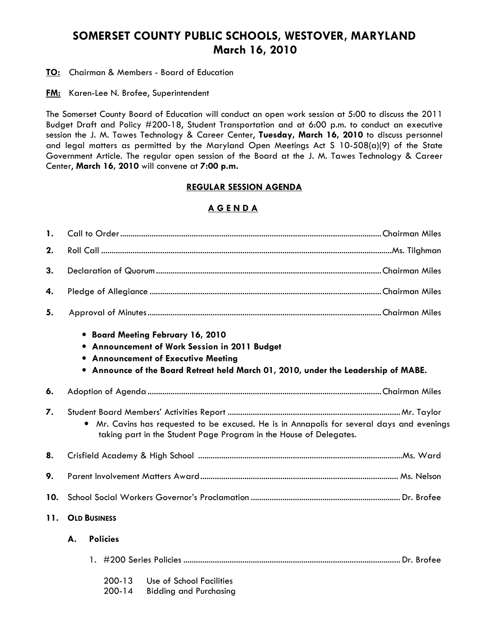# SOMERSET COUNTY PUBLIC SCHOOLS, WESTOVER, MARYLAND March 16, 2010

**TO:** Chairman & Members - Board of Education

**FM:** Karen-Lee N. Brofee, Superintendent

The Somerset County Board of Education will conduct an open work session at 5:00 to discuss the 2011 Budget Draft and Policy #200-18, Student Transportation and at 6:00 p.m. to conduct an executive session the J. M. Tawes Technology & Career Center, Tuesday, March 16, 2010 to discuss personnel and legal matters as permitted by the Maryland Open Meetings Act S 10-508(a)(9) of the State Government Article. The regular open session of the Board at the J. M. Tawes Technology & Career Center, March 16, 2010 will convene at 7:00 p.m.

### REGULAR SESSION AGENDA

# A G E N D A

| 1.  |                                                                                                                                                                |                          |                                                                                                                                                                                                               |  |  |  |
|-----|----------------------------------------------------------------------------------------------------------------------------------------------------------------|--------------------------|---------------------------------------------------------------------------------------------------------------------------------------------------------------------------------------------------------------|--|--|--|
| 2.  |                                                                                                                                                                |                          |                                                                                                                                                                                                               |  |  |  |
| 3.  |                                                                                                                                                                |                          |                                                                                                                                                                                                               |  |  |  |
| 4.  |                                                                                                                                                                |                          |                                                                                                                                                                                                               |  |  |  |
| 5.  |                                                                                                                                                                |                          |                                                                                                                                                                                                               |  |  |  |
|     |                                                                                                                                                                |                          | • Board Meeting February 16, 2010<br>• Announcement of Work Session in 2011 Budget<br>• Announcement of Executive Meeting<br>Announce of the Board Retreat held March 01, 2010, under the Leadership of MABE. |  |  |  |
| 6.  |                                                                                                                                                                |                          |                                                                                                                                                                                                               |  |  |  |
| 7.  | Mr. Cavins has requested to be excused. He is in Annapolis for several days and evenings<br>taking part in the Student Page Program in the House of Delegates. |                          |                                                                                                                                                                                                               |  |  |  |
| 8.  |                                                                                                                                                                |                          |                                                                                                                                                                                                               |  |  |  |
| 9.  |                                                                                                                                                                |                          |                                                                                                                                                                                                               |  |  |  |
| 10. |                                                                                                                                                                |                          |                                                                                                                                                                                                               |  |  |  |
| 11. | <b>OLD BUSINESS</b>                                                                                                                                            |                          |                                                                                                                                                                                                               |  |  |  |
|     | <b>Policies</b><br>A.                                                                                                                                          |                          |                                                                                                                                                                                                               |  |  |  |
|     |                                                                                                                                                                |                          |                                                                                                                                                                                                               |  |  |  |
|     |                                                                                                                                                                | $200 - 13$<br>$200 - 14$ | Use of School Facilities<br><b>Bidding and Purchasing</b>                                                                                                                                                     |  |  |  |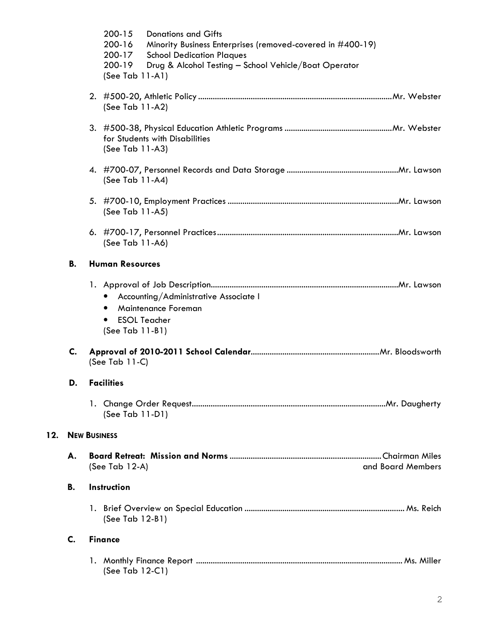|     |                      | 200-15<br><b>Donations and Gifts</b><br>200-16<br>Minority Business Enterprises (removed-covered in #400-19)<br>200-17<br><b>School Dedication Plaques</b><br>200-19<br>Drug & Alcohol Testing - School Vehicle/Boat Operator<br>(See Tab $11-A1$ ) |                   |  |  |  |  |  |
|-----|----------------------|-----------------------------------------------------------------------------------------------------------------------------------------------------------------------------------------------------------------------------------------------------|-------------------|--|--|--|--|--|
|     |                      | (See Tab $11-A2$ )                                                                                                                                                                                                                                  |                   |  |  |  |  |  |
|     |                      | for Students with Disabilities<br>(See Tab 11-A3)                                                                                                                                                                                                   |                   |  |  |  |  |  |
|     |                      | (See Tab 11-A4)                                                                                                                                                                                                                                     |                   |  |  |  |  |  |
|     |                      | (See Tab 11-A5)                                                                                                                                                                                                                                     |                   |  |  |  |  |  |
|     |                      | (See Tab 11-A6)                                                                                                                                                                                                                                     |                   |  |  |  |  |  |
|     | <b>B.</b>            |                                                                                                                                                                                                                                                     |                   |  |  |  |  |  |
|     |                      | Accounting/Administrative Associate I<br>$\bullet$<br>Maintenance Foreman<br><b>ESOL Teacher</b><br>$\bullet$<br>(See Tab 11-B1)                                                                                                                    |                   |  |  |  |  |  |
|     | C.                   | (See Tab $11-C$ )                                                                                                                                                                                                                                   |                   |  |  |  |  |  |
|     | D.                   | <b>Facilities</b>                                                                                                                                                                                                                                   |                   |  |  |  |  |  |
|     |                      | (See Tab 11-D1)                                                                                                                                                                                                                                     |                   |  |  |  |  |  |
| 12. |                      | <b>NEW BUSINESS</b>                                                                                                                                                                                                                                 |                   |  |  |  |  |  |
|     | А.                   | (See Tab 12-A)                                                                                                                                                                                                                                      | and Board Members |  |  |  |  |  |
|     | В.                   | Instruction                                                                                                                                                                                                                                         |                   |  |  |  |  |  |
|     |                      | (See Tab 12-B1)                                                                                                                                                                                                                                     |                   |  |  |  |  |  |
|     | C.<br><b>Finance</b> |                                                                                                                                                                                                                                                     |                   |  |  |  |  |  |
|     |                      | (See Tab 12-C1)                                                                                                                                                                                                                                     |                   |  |  |  |  |  |

 $12.$